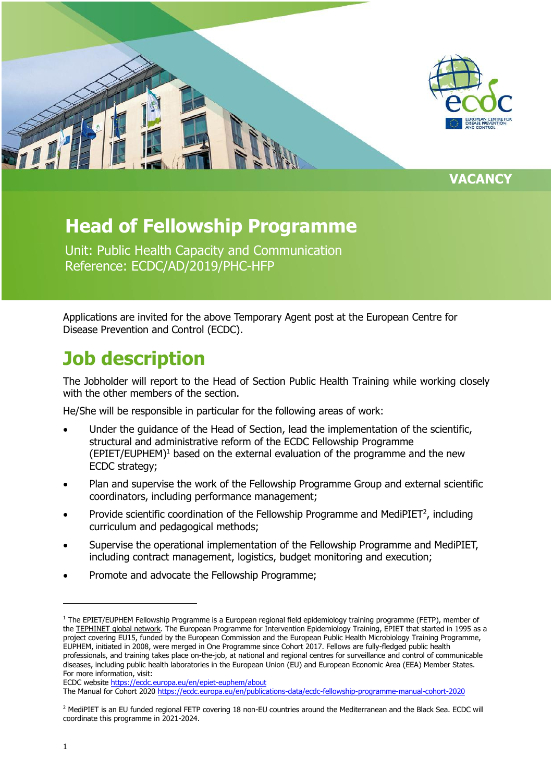

### **Head of Fellowship Programme**

Unit: Public Health Capacity and Communication Reference: ECDC/AD/2019/PHC-HFP

Applications are invited for the above Temporary Agent post at the European Centre for Disease Prevention and Control (ECDC).

## **Job description**

The Jobholder will report to the Head of Section Public Health Training while working closely with the other members of the section.

He/She will be responsible in particular for the following areas of work:

- Under the guidance of the Head of Section, lead the implementation of the scientific, structural and administrative reform of the ECDC Fellowship Programme  $(EPIET/EUPHEM)<sup>1</sup>$  based on the external evaluation of the programme and the new ECDC strategy;
- Plan and supervise the work of the Fellowship Programme Group and external scientific coordinators, including performance management;
- Provide scientific coordination of the Fellowship Programme and MediPIET<sup>2</sup>, including curriculum and pedagogical methods;
- Supervise the operational implementation of the Fellowship Programme and MediPIET, including contract management, logistics, budget monitoring and execution;
- Promote and advocate the Fellowship Programme;

j

<sup>&</sup>lt;sup>1</sup> The EPIET/EUPHEM Fellowship Programme is a European regional field epidemiology training programme (FETP), member of the [TEPHINET global network.](https://www.tephinet.org/training-programs/european-programme-for-intervention-epidemiology-training-epiet-and-the-european) The European Programme for Intervention Epidemiology Training, EPIET that started in 1995 as a project covering EU15, funded by the European Commission and the European Public Health Microbiology Training Programme, EUPHEM, initiated in 2008, were merged in One Programme since Cohort 2017. Fellows are fully-fledged public health professionals, and training takes place on-the-job, at national and regional centres for surveillance and control of communicable diseases, including public health laboratories in the European Union (EU) and European Economic Area (EEA) Member States. For more information, visit:

ECDC websit[e https://ecdc.europa.eu/en/epiet-euphem/about](https://ecdc.europa.eu/en/epiet-euphem/about)

The Manual for Cohort 2020<https://ecdc.europa.eu/en/publications-data/ecdc-fellowship-programme-manual-cohort-2020>

<sup>&</sup>lt;sup>2</sup> MediPIET is an EU funded regional FETP covering 18 non-EU countries around the Mediterranean and the Black Sea. ECDC will coordinate this programme in 2021-2024.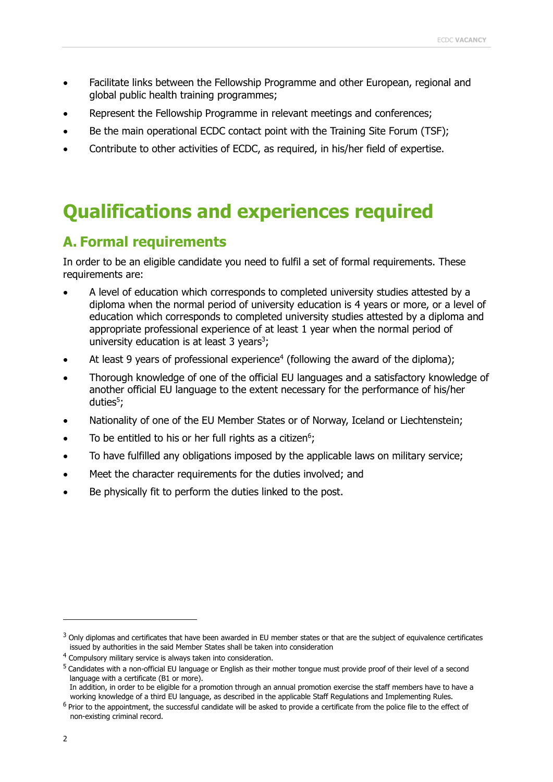- Facilitate links between the Fellowship Programme and other European, regional and global public health training programmes;
- Represent the Fellowship Programme in relevant meetings and conferences;
- Be the main operational ECDC contact point with the Training Site Forum (TSF);
- Contribute to other activities of ECDC, as required, in his/her field of expertise.

## **Qualifications and experiences required**

### **A. Formal requirements**

In order to be an eligible candidate you need to fulfil a set of formal requirements. These requirements are:

- A level of education which corresponds to completed university studies attested by a diploma when the normal period of university education is 4 years or more, or a level of education which corresponds to completed university studies attested by a diploma and appropriate professional experience of at least 1 year when the normal period of university education is at least 3 years<sup>3</sup>;
- At least 9 years of professional experience<sup>4</sup> (following the award of the diploma);
- Thorough knowledge of one of the official EU languages and a satisfactory knowledge of another official EU language to the extent necessary for the performance of his/her duties<sup>5</sup>;
- Nationality of one of the EU Member States or of Norway, Iceland or Liechtenstein;
- To be entitled to his or her full rights as a citizen<sup>6</sup>;
- To have fulfilled any obligations imposed by the applicable laws on military service;
- Meet the character requirements for the duties involved; and
- Be physically fit to perform the duties linked to the post.

j

<sup>&</sup>lt;sup>3</sup> Only diplomas and certificates that have been awarded in EU member states or that are the subject of equivalence certificates issued by authorities in the said Member States shall be taken into consideration

<sup>&</sup>lt;sup>4</sup> Compulsory military service is always taken into consideration.

<sup>&</sup>lt;sup>5</sup> Candidates with a non-official EU language or English as their mother tongue must provide proof of their level of a second language with a certificate (B1 or more).

In addition, in order to be eligible for a promotion through an annual promotion exercise the staff members have to have a working knowledge of a third EU language, as described in the applicable Staff Regulations and Implementing Rules.

<sup>&</sup>lt;sup>6</sup> Prior to the appointment, the successful candidate will be asked to provide a certificate from the police file to the effect of non-existing criminal record.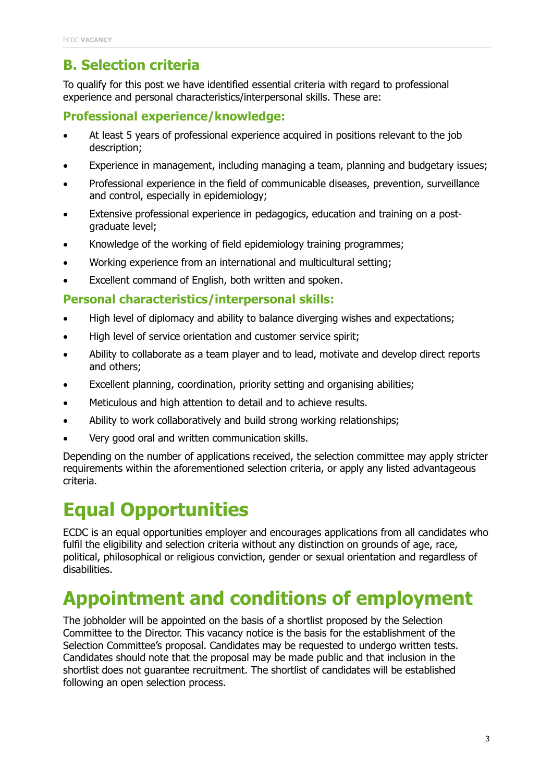### **B. Selection criteria**

To qualify for this post we have identified essential criteria with regard to professional experience and personal characteristics/interpersonal skills. These are:

#### **Professional experience/knowledge:**

- At least 5 years of professional experience acquired in positions relevant to the job description;
- Experience in management, including managing a team, planning and budgetary issues;
- Professional experience in the field of communicable diseases, prevention, surveillance and control, especially in epidemiology;
- Extensive professional experience in pedagogics, education and training on a postgraduate level;
- Knowledge of the working of field epidemiology training programmes;
- Working experience from an international and multicultural setting;
- Excellent command of English, both written and spoken.

#### **Personal characteristics/interpersonal skills:**

- High level of diplomacy and ability to balance diverging wishes and expectations;
- High level of service orientation and customer service spirit;
- Ability to collaborate as a team player and to lead, motivate and develop direct reports and others;
- Excellent planning, coordination, priority setting and organising abilities;
- Meticulous and high attention to detail and to achieve results.
- Ability to work collaboratively and build strong working relationships;
- Very good oral and written communication skills.

Depending on the number of applications received, the selection committee may apply stricter requirements within the aforementioned selection criteria, or apply any listed advantageous criteria.

# **Equal Opportunities**

ECDC is an equal opportunities employer and encourages applications from all candidates who fulfil the eligibility and selection criteria without any distinction on grounds of age, race, political, philosophical or religious conviction, gender or sexual orientation and regardless of disabilities.

# **Appointment and conditions of employment**

The jobholder will be appointed on the basis of a shortlist proposed by the Selection Committee to the Director. This vacancy notice is the basis for the establishment of the Selection Committee's proposal. Candidates may be requested to undergo written tests. Candidates should note that the proposal may be made public and that inclusion in the shortlist does not guarantee recruitment. The shortlist of candidates will be established following an open selection process.